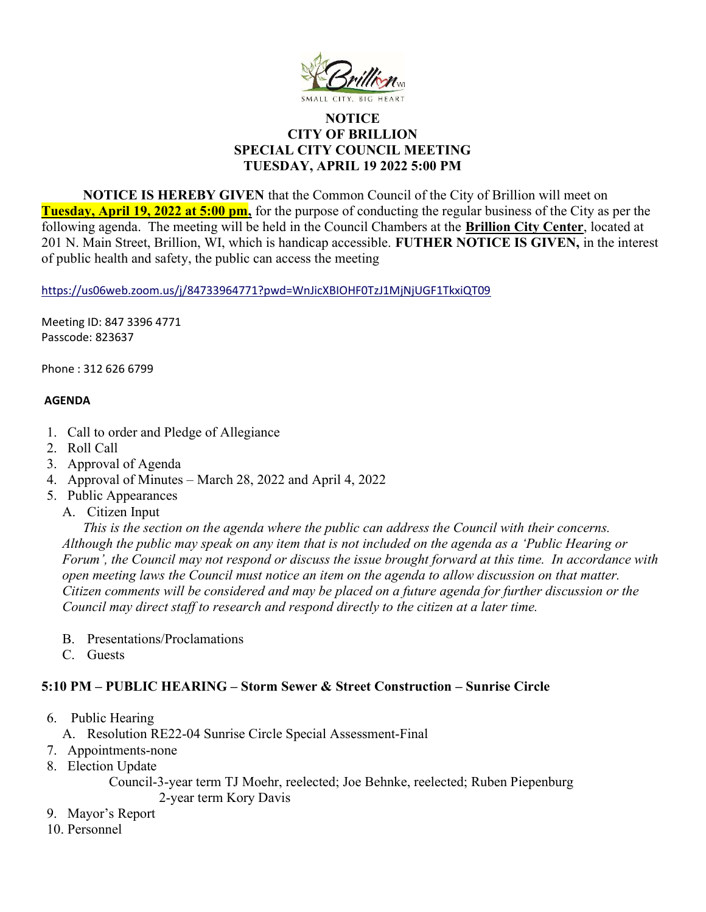

## **NOTICE** CITY OF BRILLION SPECIAL CITY COUNCIL MEETING TUESDAY, APRIL 19 2022 5:00 PM

NOTICE IS HEREBY GIVEN that the Common Council of the City of Brillion will meet on Tuesday, April 19, 2022 at 5:00 pm, for the purpose of conducting the regular business of the City as per the following agenda. The meeting will be held in the Council Chambers at the Brillion City Center, located at 201 N. Main Street, Brillion, WI, which is handicap accessible. FUTHER NOTICE IS GIVEN, in the interest of public health and safety, the public can access the meeting

https://us06web.zoom.us/j/84733964771?pwd=WnJicXBIOHF0TzJ1MjNjUGF1TkxiQT09

Meeting ID: 847 3396 4771 Passcode: 823637

Phone : 312 626 6799

## AGENDA

- 1. Call to order and Pledge of Allegiance
- 2. Roll Call
- 3. Approval of Agenda
- 4. Approval of Minutes March 28, 2022 and April 4, 2022
- 5. Public Appearances
	- A. Citizen Input

This is the section on the agenda where the public can address the Council with their concerns. Although the public may speak on any item that is not included on the agenda as a 'Public Hearing or Forum', the Council may not respond or discuss the issue brought forward at this time. In accordance with open meeting laws the Council must notice an item on the agenda to allow discussion on that matter. Citizen comments will be considered and may be placed on a future agenda for further discussion or the Council may direct staff to research and respond directly to the citizen at a later time.

- B. Presentations/Proclamations
- C. Guests

## 5:10 PM – PUBLIC HEARING – Storm Sewer & Street Construction – Sunrise Circle

- 6. Public Hearing
	- A. Resolution RE22-04 Sunrise Circle Special Assessment-Final
- 7. Appointments-none
- 8. Election Update

Council-3-year term TJ Moehr, reelected; Joe Behnke, reelected; Ruben Piepenburg 2-year term Kory Davis

- 9. Mayor's Report
- 10. Personnel